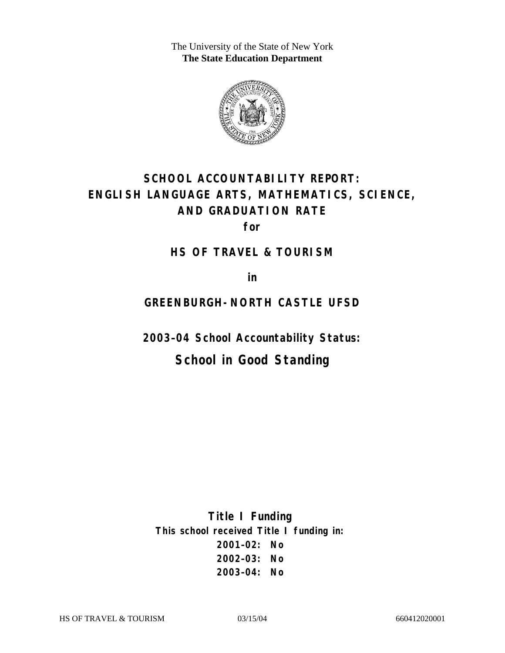The University of the State of New York **The State Education Department** 



# **SCHOOL ACCOUNTABILITY REPORT: ENGLISH LANGUAGE ARTS, MATHEMATICS, SCIENCE, AND GRADUATION RATE**

**for** 

### **HS OF TRAVEL & TOURISM**

**in** 

### **GREENBURGH-NORTH CASTLE UFSD**

**2003–04 School Accountability Status:** 

## **School in Good Standing**

**Title I Funding This school received Title I funding in: 2001–02: No 2002–03: No 2003–04: No**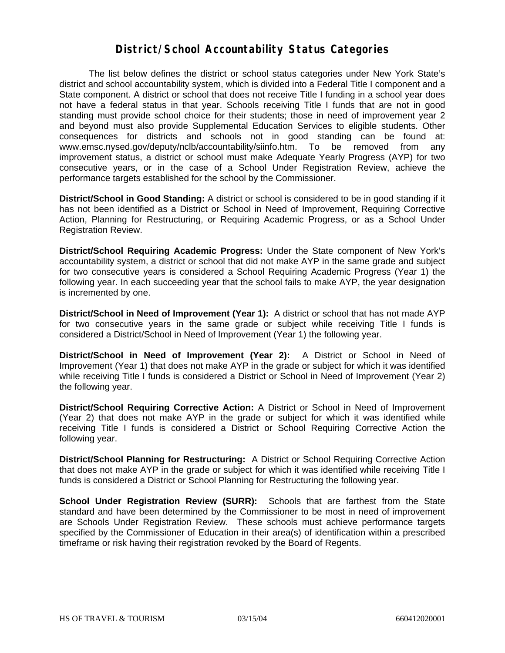### **District/School Accountability Status Categories**

The list below defines the district or school status categories under New York State's district and school accountability system, which is divided into a Federal Title I component and a State component. A district or school that does not receive Title I funding in a school year does not have a federal status in that year. Schools receiving Title I funds that are not in good standing must provide school choice for their students; those in need of improvement year 2 and beyond must also provide Supplemental Education Services to eligible students. Other consequences for districts and schools not in good standing can be found at: www.emsc.nysed.gov/deputy/nclb/accountability/siinfo.htm. To be removed from any improvement status, a district or school must make Adequate Yearly Progress (AYP) for two consecutive years, or in the case of a School Under Registration Review, achieve the performance targets established for the school by the Commissioner.

**District/School in Good Standing:** A district or school is considered to be in good standing if it has not been identified as a District or School in Need of Improvement, Requiring Corrective Action, Planning for Restructuring, or Requiring Academic Progress, or as a School Under Registration Review.

**District/School Requiring Academic Progress:** Under the State component of New York's accountability system, a district or school that did not make AYP in the same grade and subject for two consecutive years is considered a School Requiring Academic Progress (Year 1) the following year. In each succeeding year that the school fails to make AYP, the year designation is incremented by one.

**District/School in Need of Improvement (Year 1):** A district or school that has not made AYP for two consecutive years in the same grade or subject while receiving Title I funds is considered a District/School in Need of Improvement (Year 1) the following year.

**District/School in Need of Improvement (Year 2):** A District or School in Need of Improvement (Year 1) that does not make AYP in the grade or subject for which it was identified while receiving Title I funds is considered a District or School in Need of Improvement (Year 2) the following year.

**District/School Requiring Corrective Action:** A District or School in Need of Improvement (Year 2) that does not make AYP in the grade or subject for which it was identified while receiving Title I funds is considered a District or School Requiring Corrective Action the following year.

**District/School Planning for Restructuring:** A District or School Requiring Corrective Action that does not make AYP in the grade or subject for which it was identified while receiving Title I funds is considered a District or School Planning for Restructuring the following year.

**School Under Registration Review (SURR):** Schools that are farthest from the State standard and have been determined by the Commissioner to be most in need of improvement are Schools Under Registration Review. These schools must achieve performance targets specified by the Commissioner of Education in their area(s) of identification within a prescribed timeframe or risk having their registration revoked by the Board of Regents.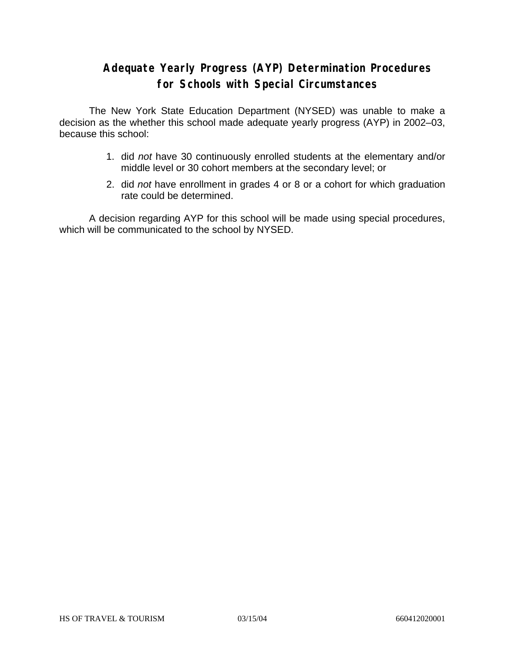### **Adequate Yearly Progress (AYP) Determination Procedures for Schools with Special Circumstances**

The New York State Education Department (NYSED) was unable to make a decision as the whether this school made adequate yearly progress (AYP) in 2002–03, because this school:

- 1. did *not* have 30 continuously enrolled students at the elementary and/or middle level or 30 cohort members at the secondary level; or
- 2. did *not* have enrollment in grades 4 or 8 or a cohort for which graduation rate could be determined.

A decision regarding AYP for this school will be made using special procedures, which will be communicated to the school by NYSED.